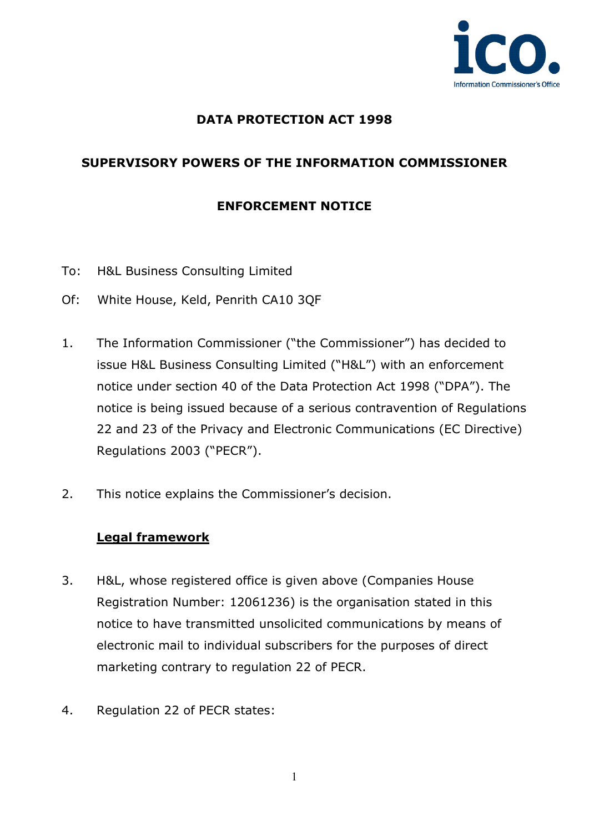

#### **DATA PROTECTION ACT 1998**

# **SUPERVISORY POWERS OF THE INFORMATION COMMISSIONER**

#### **ENFORCEMENT NOTICE**

- To: H&L Business Consulting Limited
- Of: White House, Keld, Penrith CA10 3QF
- 1. The Information Commissioner ("the Commissioner") has decided to issue H&L Business Consulting Limited ("H&L") with an enforcement notice under section 40 of the Data Protection Act 1998 ("DPA"). The notice is being issued because of a serious contravention of Regulations 22 and 23 of the Privacy and Electronic Communications (EC Directive) Regulations 2003 ("PECR").
- 2. This notice explains the Commissioner's decision.

#### **Legal framework**

- 3. H&L, whose registered office is given above (Companies House Registration Number: 12061236) is the organisation stated in this notice to have transmitted unsolicited communications by means of electronic mail to individual subscribers for the purposes of direct marketing contrary to regulation 22 of PECR.
- 4. Regulation 22 of PECR states: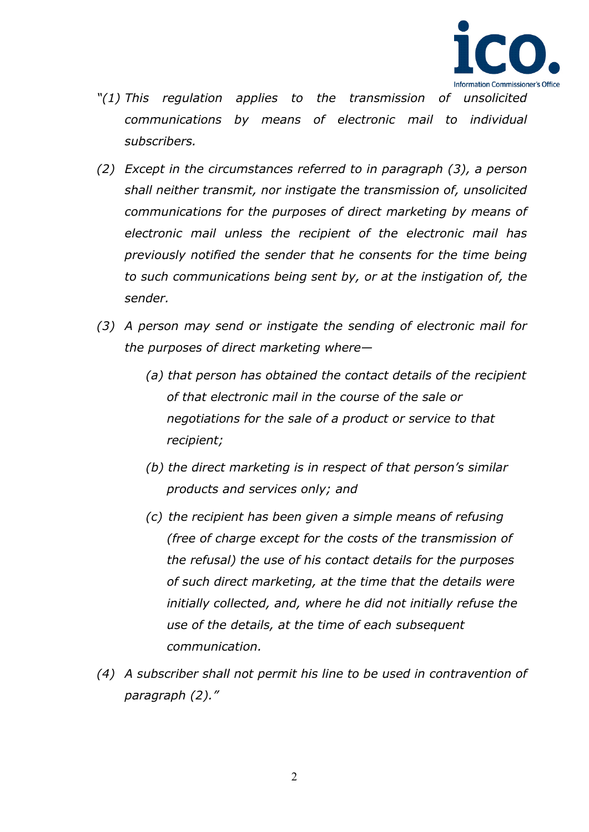

- *"(1) This regulation applies to the transmission of unsolicited communications by means of electronic mail to individual subscribers.*
- *(2) Except in the circumstances referred to in paragraph (3), a person shall neither transmit, nor instigate the transmission of, unsolicited communications for the purposes of direct marketing by means of electronic mail unless the recipient of the electronic mail has previously notified the sender that he consents for the time being to such communications being sent by, or at the instigation of, the sender.*
- *(3) A person may send or instigate the sending of electronic mail for the purposes of direct marketing where—*
	- *(a) that person has obtained the contact details of the recipient of that electronic mail in the course of the sale or negotiations for the sale of a product or service to that recipient;*
	- *(b) the direct marketing is in respect of that person's similar products and services only; and*
	- *(c) the recipient has been given a simple means of refusing (free of charge except for the costs of the transmission of the refusal) the use of his contact details for the purposes of such direct marketing, at the time that the details were initially collected, and, where he did not initially refuse the use of the details, at the time of each subsequent communication.*
- *(4) A subscriber shall not permit his line to be used in contravention of paragraph (2)."*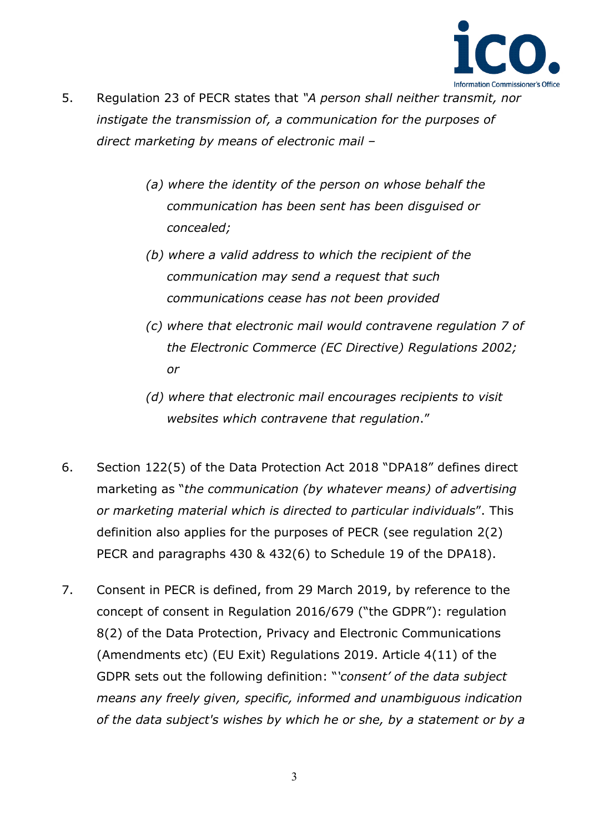

- 5. Regulation 23 of PECR states that *"A person shall neither transmit, nor instigate the transmission of, a communication for the purposes of direct marketing by means of electronic mail –*
	- *(a) where the identity of the person on whose behalf the communication has been sent has been disguised or concealed;*
	- *(b) where a valid address to which the recipient of the communication may send a request that such communications cease has not been provided*
	- *(c) where that electronic mail would contravene regulation 7 of the Electronic Commerce (EC Directive) Regulations 2002; or*
	- *(d) where that electronic mail encourages recipients to visit websites which contravene that regulation*."
- 6. Section 122(5) of the Data Protection Act 2018 "DPA18" defines direct marketing as "*the communication (by whatever means) of advertising or marketing material which is directed to particular individuals*". This definition also applies for the purposes of PECR (see regulation 2(2) PECR and paragraphs 430 & 432(6) to Schedule 19 of the DPA18).
- 7. Consent in PECR is defined, from 29 March 2019, by reference to the concept of consent in Regulation 2016/679 ("the GDPR"): regulation 8(2) of the Data Protection, Privacy and Electronic Communications (Amendments etc) (EU Exit) Regulations 2019. Article 4(11) of the GDPR sets out the following definition: "*'consent' of the data subject means any freely given, specific, informed and unambiguous indication of the data subject's wishes by which he or she, by a statement or by a*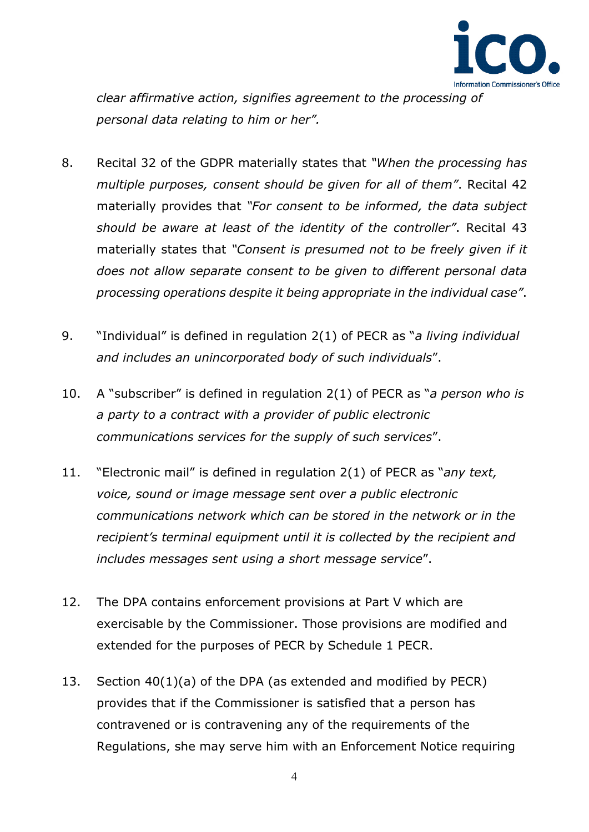

*clear affirmative action, signifies agreement to the processing of personal data relating to him or her".* 

- 8. Recital 32 of the GDPR materially states that *"When the processing has multiple purposes, consent should be given for all of them"*. Recital 42 materially provides that *"For consent to be informed, the data subject should be aware at least of the identity of the controller"*. Recital 43 materially states that *"Consent is presumed not to be freely given if it does not allow separate consent to be given to different personal data processing operations despite it being appropriate in the individual case"*.
- 9. "Individual" is defined in regulation 2(1) of PECR as "*a living individual and includes an unincorporated body of such individuals*".
- 10. A "subscriber" is defined in regulation 2(1) of PECR as "*a person who is a party to a contract with a provider of public electronic communications services for the supply of such services*".
- 11. "Electronic mail" is defined in regulation 2(1) of PECR as "*any text, voice, sound or image message sent over a public electronic communications network which can be stored in the network or in the recipient's terminal equipment until it is collected by the recipient and includes messages sent using a short message service*".
- 12. The DPA contains enforcement provisions at Part V which are exercisable by the Commissioner. Those provisions are modified and extended for the purposes of PECR by Schedule 1 PECR.
- 13. Section 40(1)(a) of the DPA (as extended and modified by PECR) provides that if the Commissioner is satisfied that a person has contravened or is contravening any of the requirements of the Regulations, she may serve him with an Enforcement Notice requiring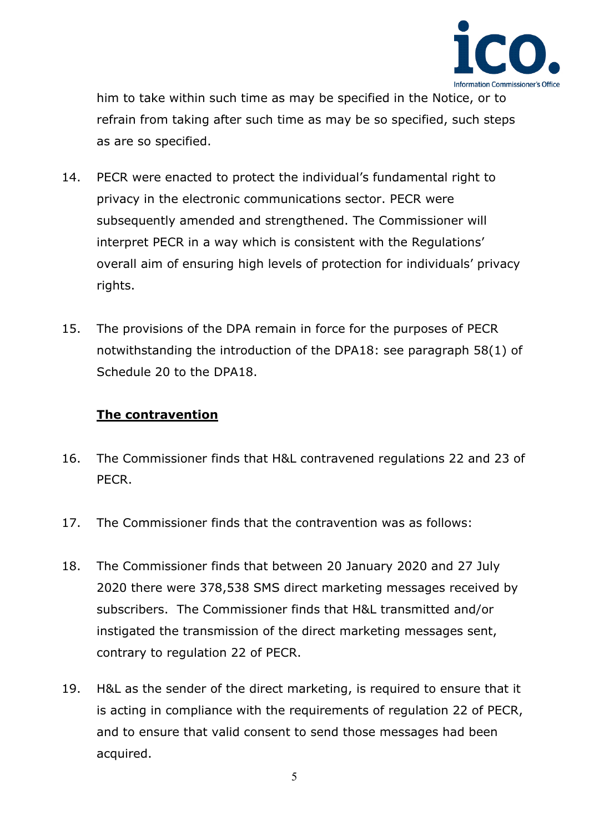

him to take within such time as may be specified in the Notice, or to refrain from taking after such time as may be so specified, such steps as are so specified.

- 14. PECR were enacted to protect the individual's fundamental right to privacy in the electronic communications sector. PECR were subsequently amended and strengthened. The Commissioner will interpret PECR in a way which is consistent with the Regulations' overall aim of ensuring high levels of protection for individuals' privacy rights.
- 15. The provisions of the DPA remain in force for the purposes of PECR notwithstanding the introduction of the DPA18: see paragraph 58(1) of Schedule 20 to the DPA18.

# **The contravention**

- 16. The Commissioner finds that H&L contravened regulations 22 and 23 of PECR.
- 17. The Commissioner finds that the contravention was as follows:
- 18. The Commissioner finds that between 20 January 2020 and 27 July 2020 there were 378,538 SMS direct marketing messages received by subscribers. The Commissioner finds that H&L transmitted and/or instigated the transmission of the direct marketing messages sent, contrary to regulation 22 of PECR.
- 19. H&L as the sender of the direct marketing, is required to ensure that it is acting in compliance with the requirements of regulation 22 of PECR, and to ensure that valid consent to send those messages had been acquired.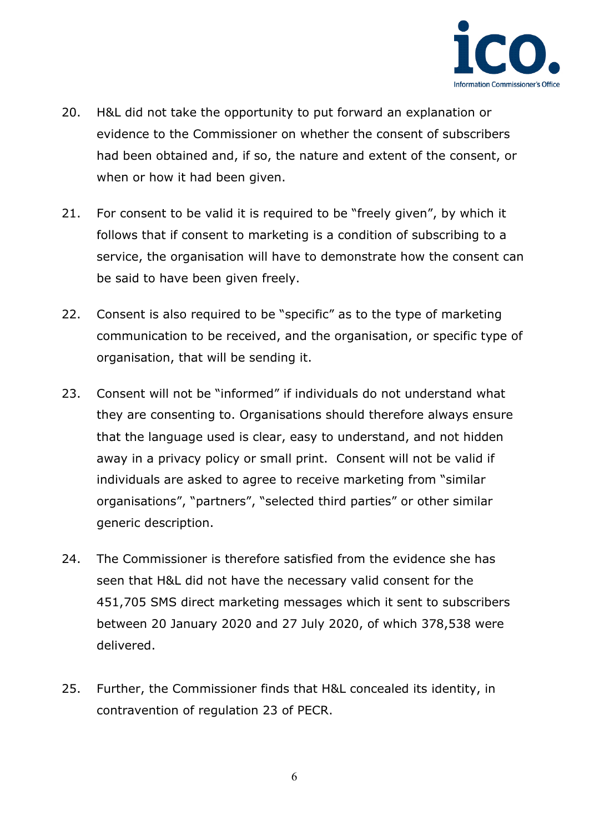

- 20. H&L did not take the opportunity to put forward an explanation or evidence to the Commissioner on whether the consent of subscribers had been obtained and, if so, the nature and extent of the consent, or when or how it had been given.
- 21. For consent to be valid it is required to be "freely given", by which it follows that if consent to marketing is a condition of subscribing to a service, the organisation will have to demonstrate how the consent can be said to have been given freely.
- 22. Consent is also required to be "specific" as to the type of marketing communication to be received, and the organisation, or specific type of organisation, that will be sending it.
- 23. Consent will not be "informed" if individuals do not understand what they are consenting to. Organisations should therefore always ensure that the language used is clear, easy to understand, and not hidden away in a privacy policy or small print. Consent will not be valid if individuals are asked to agree to receive marketing from "similar organisations", "partners", "selected third parties" or other similar generic description.
- 24. The Commissioner is therefore satisfied from the evidence she has seen that H&L did not have the necessary valid consent for the 451,705 SMS direct marketing messages which it sent to subscribers between 20 January 2020 and 27 July 2020, of which 378,538 were delivered.
- 25. Further, the Commissioner finds that H&L concealed its identity, in contravention of regulation 23 of PECR.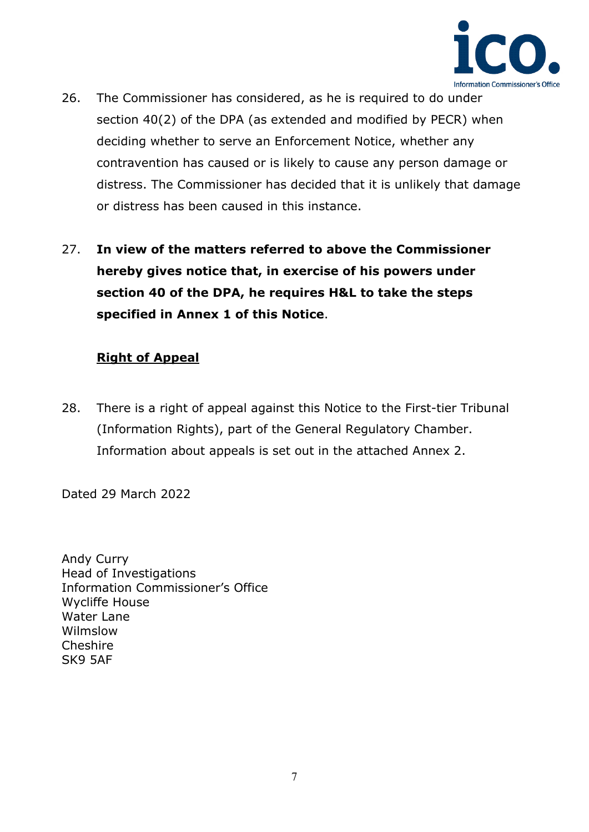

- 26. The Commissioner has considered, as he is required to do under section 40(2) of the DPA (as extended and modified by PECR) when deciding whether to serve an Enforcement Notice, whether any contravention has caused or is likely to cause any person damage or distress. The Commissioner has decided that it is unlikely that damage or distress has been caused in this instance.
- 27. **In view of the matters referred to above the Commissioner hereby gives notice that, in exercise of his powers under section 40 of the DPA, he requires H&L to take the steps specified in Annex 1 of this Notice**.

# **Right of Appeal**

28. There is a right of appeal against this Notice to the First-tier Tribunal (Information Rights), part of the General Regulatory Chamber. Information about appeals is set out in the attached Annex 2.

Dated 29 March 2022

Andy Curry Head of Investigations Information Commissioner's Office Wycliffe House Water Lane Wilmslow Cheshire SK9 5AF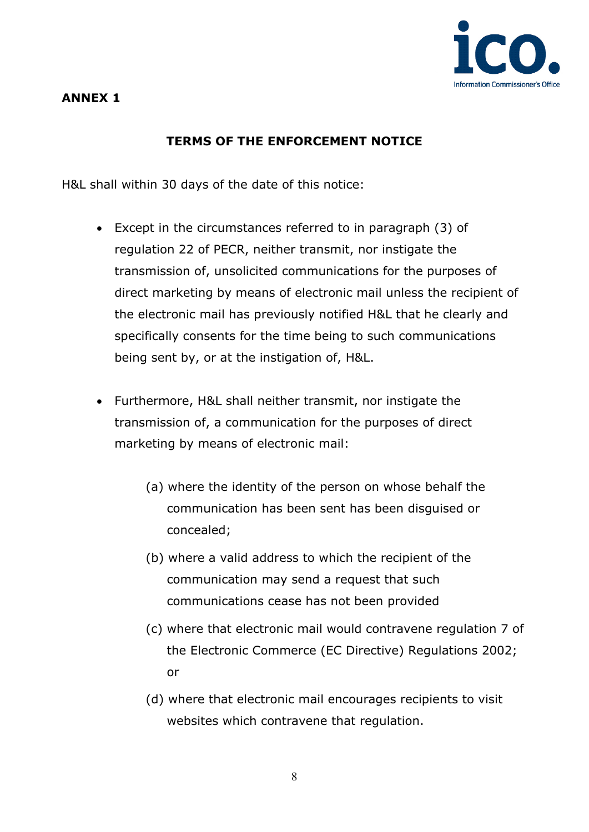

# **ANNEX 1**

# **TERMS OF THE ENFORCEMENT NOTICE**

H&L shall within 30 days of the date of this notice:

- Except in the circumstances referred to in paragraph (3) of regulation 22 of PECR, neither transmit, nor instigate the transmission of, unsolicited communications for the purposes of direct marketing by means of electronic mail unless the recipient of the electronic mail has previously notified H&L that he clearly and specifically consents for the time being to such communications being sent by, or at the instigation of, H&L.
- Furthermore, H&L shall neither transmit, nor instigate the transmission of, a communication for the purposes of direct marketing by means of electronic mail:
	- (a) where the identity of the person on whose behalf the communication has been sent has been disguised or concealed;
	- (b) where a valid address to which the recipient of the communication may send a request that such communications cease has not been provided
	- (c) where that electronic mail would contravene regulation 7 of the Electronic Commerce (EC Directive) Regulations 2002; or
	- (d) where that electronic mail encourages recipients to visit websites which contravene that regulation.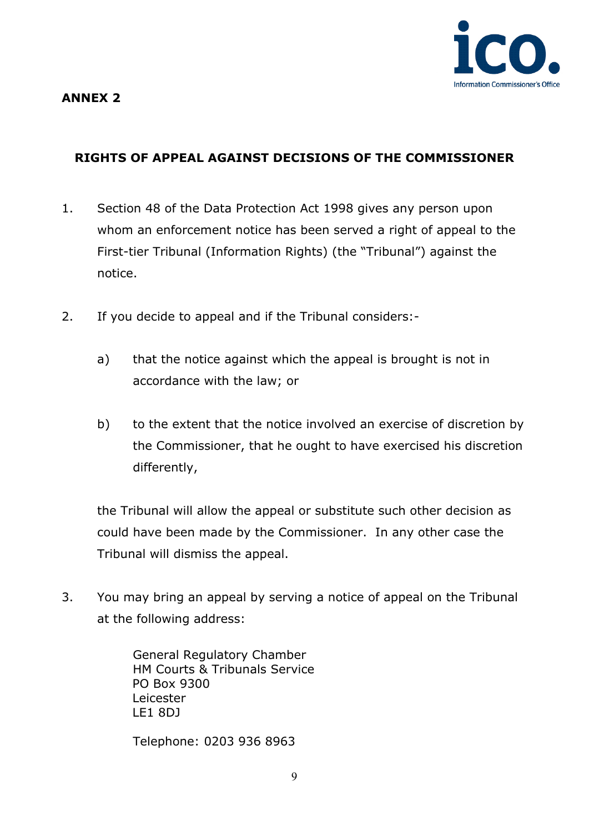

# **ANNEX 2**

# **RIGHTS OF APPEAL AGAINST DECISIONS OF THE COMMISSIONER**

- 1. Section 48 of the Data Protection Act 1998 gives any person upon whom an enforcement notice has been served a right of appeal to the First-tier Tribunal (Information Rights) (the "Tribunal") against the notice.
- 2. If you decide to appeal and if the Tribunal considers:
	- a) that the notice against which the appeal is brought is not in accordance with the law; or
	- b) to the extent that the notice involved an exercise of discretion by the Commissioner, that he ought to have exercised his discretion differently,

the Tribunal will allow the appeal or substitute such other decision as could have been made by the Commissioner. In any other case the Tribunal will dismiss the appeal.

3. You may bring an appeal by serving a notice of appeal on the Tribunal at the following address:

> General Regulatory Chamber HM Courts & Tribunals Service PO Box 9300 Leicester LE1 8DJ

Telephone: 0203 936 8963